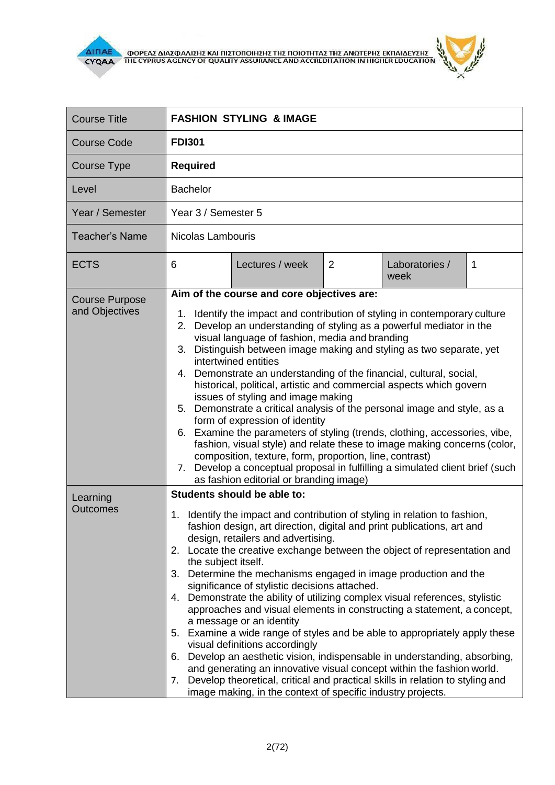

 $\mathbf{r}$ 

| <b>Course Title</b>                     | <b>FASHION STYLING &amp; IMAGE</b>                                                                                                                                                                                                                                                                                                                                                                                                                                                                                                                                                                                                                                                                                                                                                                                                                                                                                                                                                                                                                                  |  |  |
|-----------------------------------------|---------------------------------------------------------------------------------------------------------------------------------------------------------------------------------------------------------------------------------------------------------------------------------------------------------------------------------------------------------------------------------------------------------------------------------------------------------------------------------------------------------------------------------------------------------------------------------------------------------------------------------------------------------------------------------------------------------------------------------------------------------------------------------------------------------------------------------------------------------------------------------------------------------------------------------------------------------------------------------------------------------------------------------------------------------------------|--|--|
| <b>Course Code</b>                      | <b>FDI301</b>                                                                                                                                                                                                                                                                                                                                                                                                                                                                                                                                                                                                                                                                                                                                                                                                                                                                                                                                                                                                                                                       |  |  |
| Course Type                             | <b>Required</b>                                                                                                                                                                                                                                                                                                                                                                                                                                                                                                                                                                                                                                                                                                                                                                                                                                                                                                                                                                                                                                                     |  |  |
| Level                                   | <b>Bachelor</b>                                                                                                                                                                                                                                                                                                                                                                                                                                                                                                                                                                                                                                                                                                                                                                                                                                                                                                                                                                                                                                                     |  |  |
| Year / Semester                         | Year 3 / Semester 5                                                                                                                                                                                                                                                                                                                                                                                                                                                                                                                                                                                                                                                                                                                                                                                                                                                                                                                                                                                                                                                 |  |  |
| <b>Teacher's Name</b>                   | Nicolas Lambouris                                                                                                                                                                                                                                                                                                                                                                                                                                                                                                                                                                                                                                                                                                                                                                                                                                                                                                                                                                                                                                                   |  |  |
| <b>ECTS</b>                             | Lectures / week<br>$\overline{2}$<br>Laboratories /<br>6<br>1<br>week                                                                                                                                                                                                                                                                                                                                                                                                                                                                                                                                                                                                                                                                                                                                                                                                                                                                                                                                                                                               |  |  |
| <b>Course Purpose</b><br>and Objectives | Aim of the course and core objectives are:<br>1. Identify the impact and contribution of styling in contemporary culture<br>2. Develop an understanding of styling as a powerful mediator in the<br>visual language of fashion, media and branding<br>3. Distinguish between image making and styling as two separate, yet<br>intertwined entities<br>4. Demonstrate an understanding of the financial, cultural, social,<br>historical, political, artistic and commercial aspects which govern<br>issues of styling and image making<br>5. Demonstrate a critical analysis of the personal image and style, as a<br>form of expression of identity<br>6. Examine the parameters of styling (trends, clothing, accessories, vibe,<br>fashion, visual style) and relate these to image making concerns (color,<br>composition, texture, form, proportion, line, contrast)<br>7. Develop a conceptual proposal in fulfilling a simulated client brief (such<br>as fashion editorial or branding image)                                                               |  |  |
| Learning<br><b>Outcomes</b>             | Students should be able to:<br>1. Identify the impact and contribution of styling in relation to fashion,<br>fashion design, art direction, digital and print publications, art and<br>design, retailers and advertising.<br>2. Locate the creative exchange between the object of representation and<br>the subject itself.<br>3. Determine the mechanisms engaged in image production and the<br>significance of stylistic decisions attached.<br>4. Demonstrate the ability of utilizing complex visual references, stylistic<br>approaches and visual elements in constructing a statement, a concept,<br>a message or an identity<br>5. Examine a wide range of styles and be able to appropriately apply these<br>visual definitions accordingly<br>6. Develop an aesthetic vision, indispensable in understanding, absorbing,<br>and generating an innovative visual concept within the fashion world.<br>Develop theoretical, critical and practical skills in relation to styling and<br>7.<br>image making, in the context of specific industry projects. |  |  |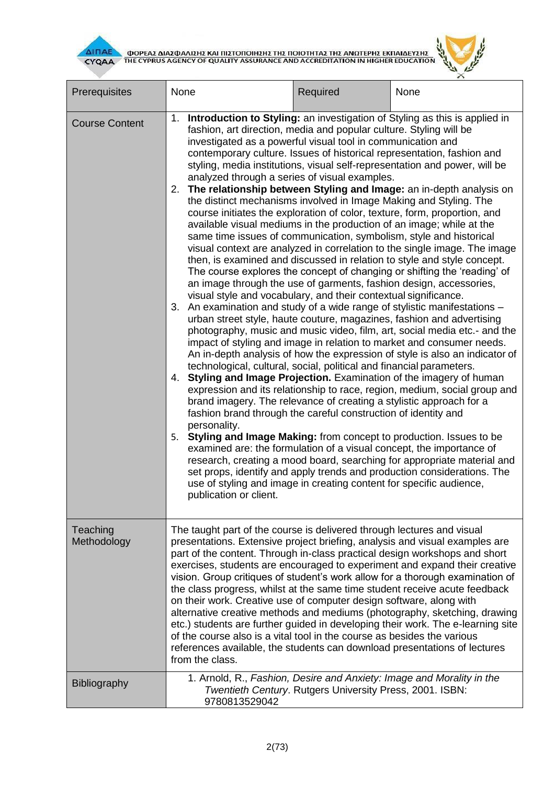$\mathbf{r}$ 



| Prerequisites           | None                                                                                                                                                                                                                                                                                                                                                                                                                                                                                                                                                                                                                                                                                                                                                                                                                                                                                                                                                                                                                                                                                                                                                                                                                                                                                                                                                                                                                                                                                                                                                                                                                                                                                                                                                                                                                                                                                                                                                                                                                                                                                                                                                                                                                                                                                                                                                 | Required                                                 | None                                                                  |  |
|-------------------------|------------------------------------------------------------------------------------------------------------------------------------------------------------------------------------------------------------------------------------------------------------------------------------------------------------------------------------------------------------------------------------------------------------------------------------------------------------------------------------------------------------------------------------------------------------------------------------------------------------------------------------------------------------------------------------------------------------------------------------------------------------------------------------------------------------------------------------------------------------------------------------------------------------------------------------------------------------------------------------------------------------------------------------------------------------------------------------------------------------------------------------------------------------------------------------------------------------------------------------------------------------------------------------------------------------------------------------------------------------------------------------------------------------------------------------------------------------------------------------------------------------------------------------------------------------------------------------------------------------------------------------------------------------------------------------------------------------------------------------------------------------------------------------------------------------------------------------------------------------------------------------------------------------------------------------------------------------------------------------------------------------------------------------------------------------------------------------------------------------------------------------------------------------------------------------------------------------------------------------------------------------------------------------------------------------------------------------------------------|----------------------------------------------------------|-----------------------------------------------------------------------|--|
| <b>Course Content</b>   | Introduction to Styling: an investigation of Styling as this is applied in<br>1.<br>fashion, art direction, media and popular culture. Styling will be<br>investigated as a powerful visual tool in communication and<br>contemporary culture. Issues of historical representation, fashion and<br>styling, media institutions, visual self-representation and power, will be<br>analyzed through a series of visual examples.<br>2. The relationship between Styling and Image: an in-depth analysis on<br>the distinct mechanisms involved in Image Making and Styling. The<br>course initiates the exploration of color, texture, form, proportion, and<br>available visual mediums in the production of an image; while at the<br>same time issues of communication, symbolism, style and historical<br>visual context are analyzed in correlation to the single image. The image<br>then, is examined and discussed in relation to style and style concept.<br>The course explores the concept of changing or shifting the 'reading' of<br>an image through the use of garments, fashion design, accessories,<br>visual style and vocabulary, and their contextual significance.<br>3. An examination and study of a wide range of stylistic manifestations -<br>urban street style, haute couture, magazines, fashion and advertising<br>photography, music and music video, film, art, social media etc.- and the<br>impact of styling and image in relation to market and consumer needs.<br>An in-depth analysis of how the expression of style is also an indicator of<br>technological, cultural, social, political and financial parameters.<br>4. Styling and Image Projection. Examination of the imagery of human<br>expression and its relationship to race, region, medium, social group and<br>brand imagery. The relevance of creating a stylistic approach for a<br>fashion brand through the careful construction of identity and<br>personality.<br>5. Styling and Image Making: from concept to production. Issues to be<br>examined are: the formulation of a visual concept, the importance of<br>research, creating a mood board, searching for appropriate material and<br>set props, identify and apply trends and production considerations. The<br>use of styling and image in creating content for specific audience, |                                                          |                                                                       |  |
| Teaching<br>Methodology | The taught part of the course is delivered through lectures and visual<br>presentations. Extensive project briefing, analysis and visual examples are<br>part of the content. Through in-class practical design workshops and short<br>exercises, students are encouraged to experiment and expand their creative<br>vision. Group critiques of student's work allow for a thorough examination of<br>the class progress, whilst at the same time student receive acute feedback<br>on their work. Creative use of computer design software, along with<br>alternative creative methods and mediums (photography, sketching, drawing<br>etc.) students are further guided in developing their work. The e-learning site<br>of the course also is a vital tool in the course as besides the various<br>references available, the students can download presentations of lectures<br>from the class.                                                                                                                                                                                                                                                                                                                                                                                                                                                                                                                                                                                                                                                                                                                                                                                                                                                                                                                                                                                                                                                                                                                                                                                                                                                                                                                                                                                                                                                   |                                                          |                                                                       |  |
| <b>Bibliography</b>     | 9780813529042                                                                                                                                                                                                                                                                                                                                                                                                                                                                                                                                                                                                                                                                                                                                                                                                                                                                                                                                                                                                                                                                                                                                                                                                                                                                                                                                                                                                                                                                                                                                                                                                                                                                                                                                                                                                                                                                                                                                                                                                                                                                                                                                                                                                                                                                                                                                        | Twentieth Century. Rutgers University Press, 2001. ISBN: | 1. Arnold, R., Fashion, Desire and Anxiety: Image and Morality in the |  |